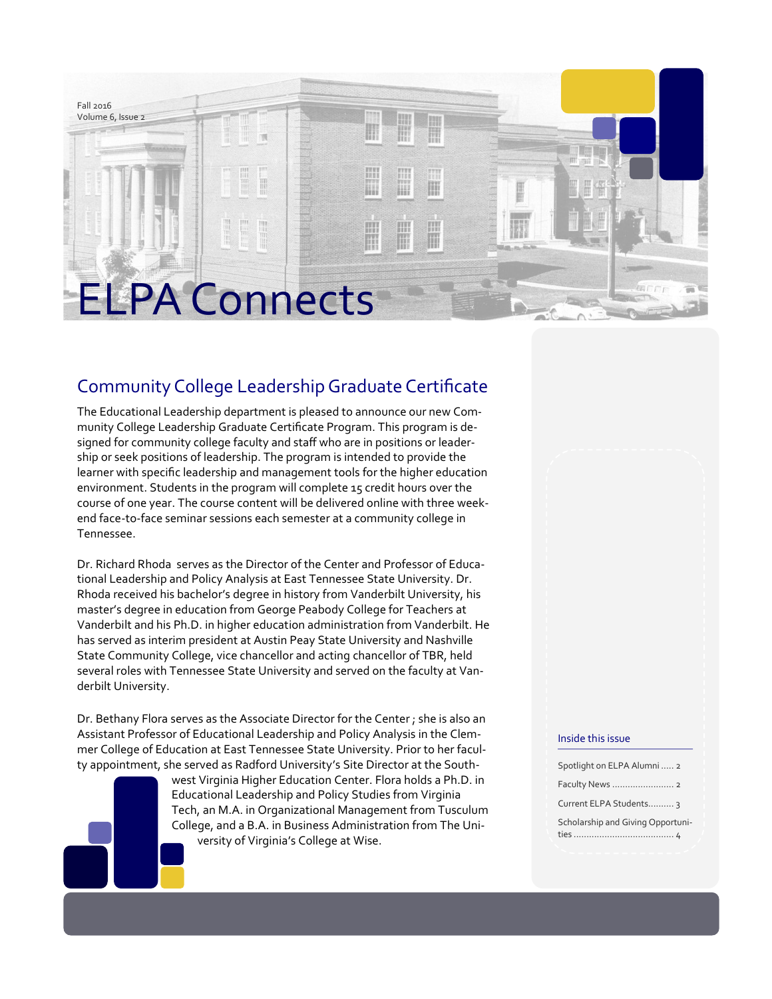

## Community College Leadership Graduate Certificate

The Educational Leadership department is pleased to announce our new Community College Leadership Graduate Certificate Program. This program is designed for community college faculty and staff who are in positions or leadership or seek positions of leadership. The program is intended to provide the learner with specific leadership and management tools for the higher education environment. Students in the program will complete 15 credit hours over the course of one year. The course content will be delivered online with three weekend face-to-face seminar sessions each semester at a community college in Tennessee.

Dr. Richard Rhoda serves as the Director of the Center and Professor of Educational Leadership and Policy Analysis at East Tennessee State University. Dr. Rhoda received his bachelor's degree in history from Vanderbilt University, his master's degree in education from George Peabody College for Teachers at Vanderbilt and his Ph.D. in higher education administration from Vanderbilt. He has served as interim president at Austin Peay State University and Nashville State Community College, vice chancellor and acting chancellor of TBR, held several roles with Tennessee State University and served on the faculty at Vanderbilt University.

Dr. Bethany Flora serves as the Associate Director for the Center ; she is also an Assistant Professor of Educational Leadership and Policy Analysis in the Clemmer College of Education at East Tennessee State University. Prior to her faculty appointment, she served as Radford University's Site Director at the South-

> west Virginia Higher Education Center. Flora holds a Ph.D. in Educational Leadership and Policy Studies from Virginia Tech, an M.A. in Organizational Management from Tusculum College, and a B.A. in Business Administration from The University of Virginia's College at Wise.

#### Inside this issue

| Spotlight on ELPA Alumni  2       |
|-----------------------------------|
|                                   |
| Current ELPA Students 3           |
| Scholarship and Giving Opportuni- |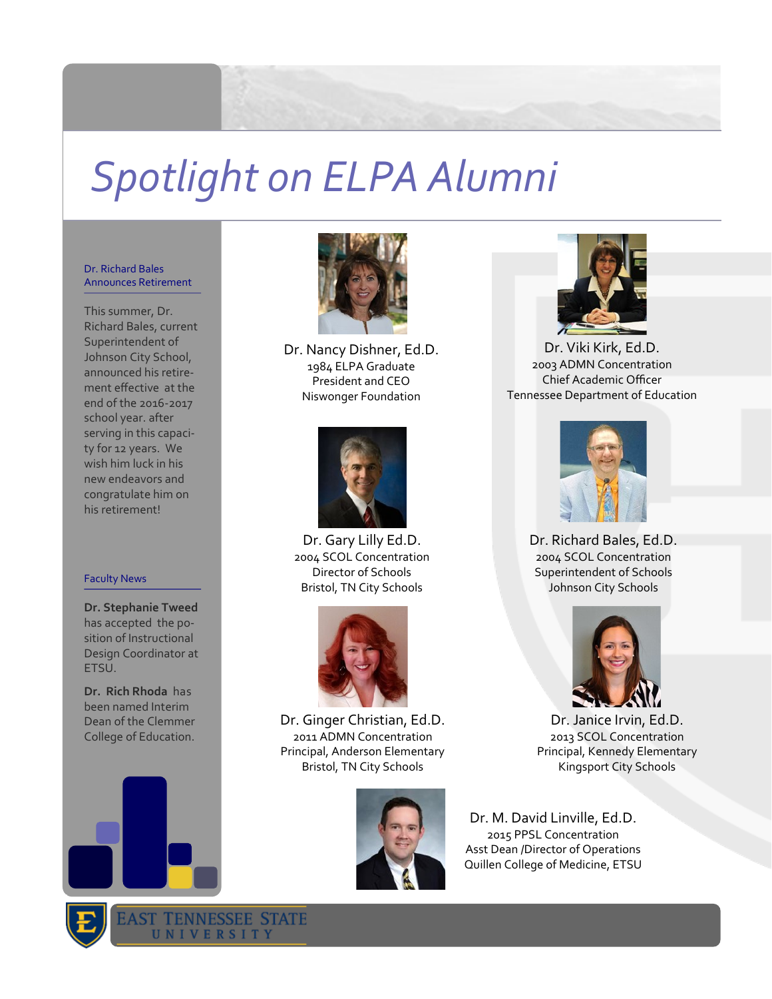# *Spotlight on ELPA Alumni*

#### Dr. Richard Bales Announces Retirement

This summer, Dr. Richard Bales, current Superintendent of Johnson City School, announced his retirement effective at the end of the 2016-2017 school year. after serving in this capacity for 12 years. We wish him luck in his new endeavors and congratulate him on his retirement!

#### Faculty News

**Dr. Stephanie Tweed** has accepted the position of Instructional Design Coordinator at ETSU.

**Dr. Rich Rhoda** has been named Interim Dean of the Clemmer College of Education.





Dr. Nancy Dishner, Ed.D. 1984 ELPA Graduate President and CEO Niswonger Foundation



Dr. Gary Lilly Ed.D. 2004 SCOL Concentration Director of Schools Bristol, TN City Schools



Dr. Ginger Christian, Ed.D. 2011 ADMN Concentration Principal, Anderson Elementary Bristol, TN City Schools





Dr. Viki Kirk, Ed.D. 2003 ADMN Concentration Chief Academic Officer Tennessee Department of Education



Dr. Richard Bales, Ed.D. 2004 SCOL Concentration Superintendent of Schools Johnson City Schools



Dr. Janice Irvin, Ed.D. 2013 SCOL Concentration Principal, Kennedy Elementary Kingsport City Schools

Dr. M. David Linville, Ed.D. 2015 PPSL Concentration Asst Dean /Director of Operations Quillen College of Medicine, ETSU

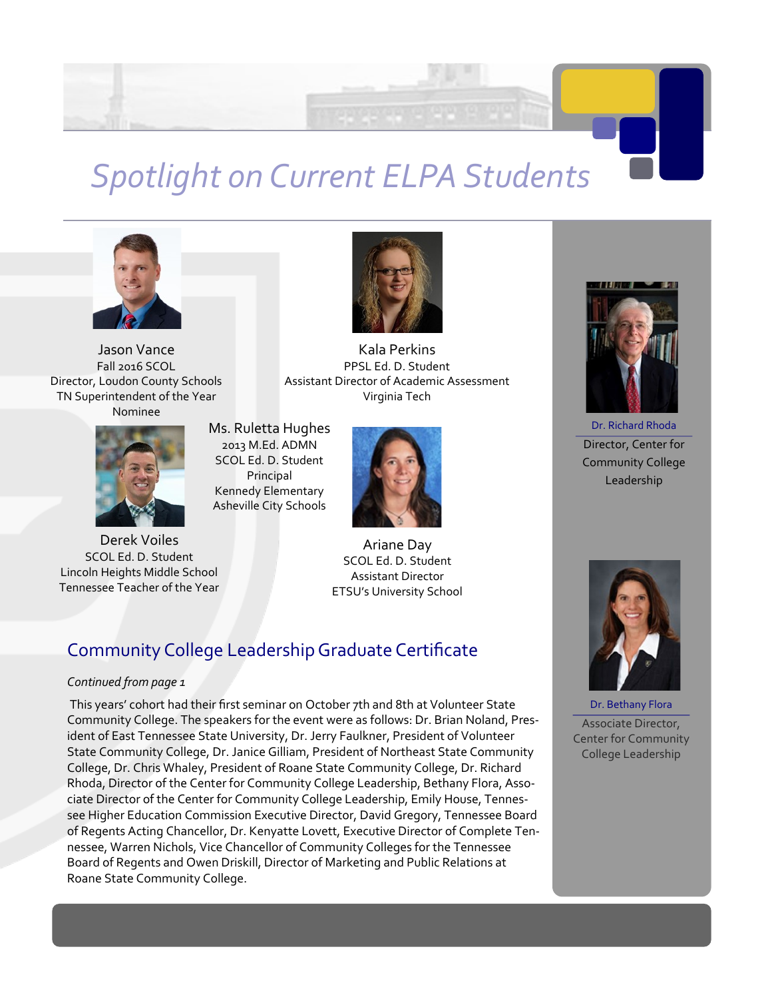

## *Spotlight on Current ELPA Students*



Jason Vance Fall 2016 SCOL Director, Loudon County Schools TN Superintendent of the Year Nominee



Derek Voiles SCOL Ed. D. Student Lincoln Heights Middle School Tennessee Teacher of the Year



Kala Perkins PPSL Ed. D. Student Assistant Director of Academic Assessment Virginia Tech

Ms. Ruletta Hughes 2013 M.Ed. ADMN SCOL Ed. D. Student Principal Kennedy Elementary Asheville City Schools



Ariane Day SCOL Ed. D. Student Assistant Director ETSU's University School

## Community College Leadership Graduate Certificate

#### *Continued from page 1*

This years' cohort had their first seminar on October 7th and 8th at Volunteer State Community College. The speakers for the event were as follows: Dr. Brian Noland, President of East Tennessee State University, Dr. Jerry Faulkner, President of Volunteer State Community College, Dr. Janice Gilliam, President of Northeast State Community College, Dr. Chris Whaley, President of Roane State Community College, Dr. Richard Rhoda, Director of the Center for Community College Leadership, Bethany Flora, Associate Director of the Center for Community College Leadership, Emily House, Tennessee Higher Education Commission Executive Director, David Gregory, Tennessee Board of Regents Acting Chancellor, Dr. Kenyatte Lovett, Executive Director of Complete Tennessee, Warren Nichols, Vice Chancellor of Community Colleges for the Tennessee Board of Regents and Owen Driskill, Director of Marketing and Public Relations at Roane State Community College.



Dr. Richard Rhoda Director, Center for Community College Leadership



Dr. Bethany Flora Associate Director, Center for Community College Leadership